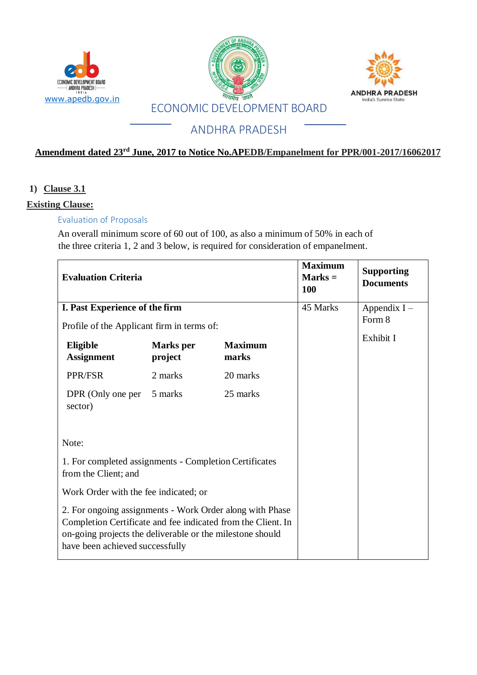





## **Amendment dated 23rd June, 2017 to Notice No.APEDB/Empanelment for PPR/001-2017/16062017**

## **1) Clause 3.1**

#### **Existing Clause:**

### Evaluation of Proposals

An overall minimum score of 60 out of 100, as also a minimum of 50% in each of the three criteria 1, 2 and 3 below, is required for consideration of empanelment.

| <b>Evaluation Criteria</b>                                                                                                                                                                                               |                             |                         | <b>Maximum</b><br>$Marks =$<br><b>100</b> | <b>Supporting</b><br><b>Documents</b> |
|--------------------------------------------------------------------------------------------------------------------------------------------------------------------------------------------------------------------------|-----------------------------|-------------------------|-------------------------------------------|---------------------------------------|
| I. Past Experience of the firm                                                                                                                                                                                           |                             |                         | 45 Marks                                  | Appendix $I -$                        |
| Profile of the Applicant firm in terms of:                                                                                                                                                                               |                             |                         |                                           | Form 8                                |
| Eligible<br><b>Assignment</b>                                                                                                                                                                                            | <b>Marks</b> per<br>project | <b>Maximum</b><br>marks |                                           | Exhibit I                             |
| PPR/FSR                                                                                                                                                                                                                  | 2 marks                     | 20 marks                |                                           |                                       |
| DPR (Only one per<br>sector)                                                                                                                                                                                             | 5 marks                     | 25 marks                |                                           |                                       |
| Note:                                                                                                                                                                                                                    |                             |                         |                                           |                                       |
| 1. For completed assignments - Completion Certificates<br>from the Client; and                                                                                                                                           |                             |                         |                                           |                                       |
| Work Order with the fee indicated; or                                                                                                                                                                                    |                             |                         |                                           |                                       |
| 2. For ongoing assignments - Work Order along with Phase<br>Completion Certificate and fee indicated from the Client. In<br>on-going projects the deliverable or the milestone should<br>have been achieved successfully |                             |                         |                                           |                                       |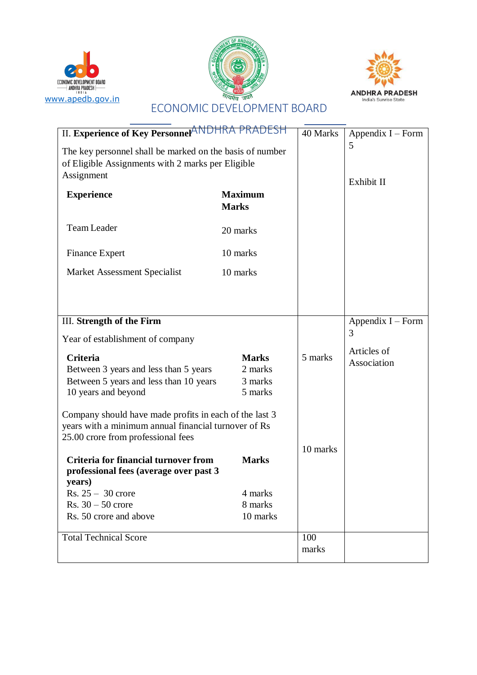





|                                                          | RADESH         |                     |                     |
|----------------------------------------------------------|----------------|---------------------|---------------------|
| II. Experience of Key Personnel <sup>ANDHRA</sup>        | 40 Marks       | Appendix $I$ – Form |                     |
| The key personnel shall be marked on the basis of number |                | 5                   |                     |
| of Eligible Assignments with 2 marks per Eligible        |                |                     |                     |
| Assignment                                               |                |                     |                     |
|                                                          |                |                     | Exhibit II          |
| <b>Experience</b>                                        | <b>Maximum</b> |                     |                     |
|                                                          | <b>Marks</b>   |                     |                     |
| <b>Team Leader</b>                                       | 20 marks       |                     |                     |
| <b>Finance Expert</b>                                    | 10 marks       |                     |                     |
| Market Assessment Specialist                             | 10 marks       |                     |                     |
|                                                          |                |                     |                     |
|                                                          |                |                     |                     |
| III. Strength of the Firm                                |                |                     | Appendix $I$ – Form |
| Year of establishment of company                         |                |                     | 3                   |
| <b>Criteria</b>                                          | <b>Marks</b>   | 5 marks             | Articles of         |
| Between 3 years and less than 5 years                    | 2 marks        |                     | Association         |
| Between 5 years and less than 10 years                   | 3 marks        |                     |                     |
| 10 years and beyond                                      | 5 marks        |                     |                     |
|                                                          |                |                     |                     |
| Company should have made profits in each of the last 3   |                |                     |                     |
| years with a minimum annual financial turnover of Rs     |                |                     |                     |
| 25.00 crore from professional fees                       |                |                     |                     |
|                                                          |                | 10 marks            |                     |
| <b>Criteria for financial turnover from</b>              | <b>Marks</b>   |                     |                     |
| professional fees (average over past 3<br>years)         |                |                     |                     |
| Rs. $25 - 30$ crore                                      | 4 marks        |                     |                     |
| $Rs. 30 - 50$ crore                                      | 8 marks        |                     |                     |
| Rs. 50 crore and above                                   | 10 marks       |                     |                     |
|                                                          |                |                     |                     |
| <b>Total Technical Score</b>                             |                | 100                 |                     |
|                                                          |                | marks               |                     |
|                                                          |                |                     |                     |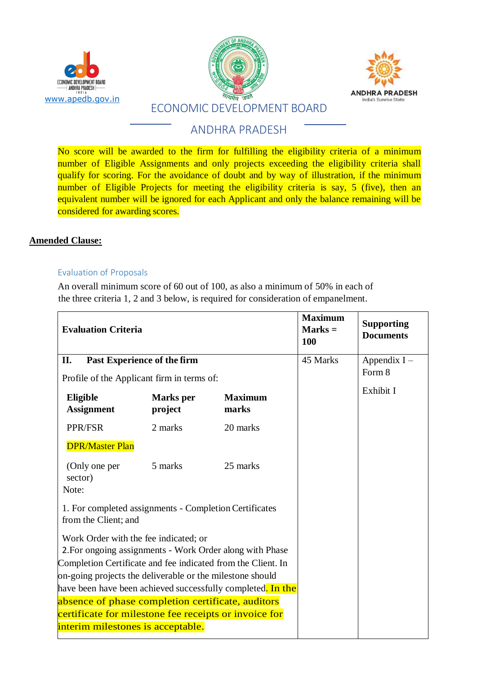





No score will be awarded to the firm for fulfilling the eligibility criteria of a minimum number of Eligible Assignments and only projects exceeding the eligibility criteria shall qualify for scoring. For the avoidance of doubt and by way of illustration, if the minimum number of Eligible Projects for meeting the eligibility criteria is say, 5 (five), then an equivalent number will be ignored for each Applicant and only the balance remaining will be considered for awarding scores.

#### **Amended Clause:**

#### Evaluation of Proposals

An overall minimum score of 60 out of 100, as also a minimum of 50% in each of the three criteria 1, 2 and 3 below, is required for consideration of empanelment.

| <b>Evaluation Criteria</b>                                                                                                                                                                                                                                                                                  |                             |                         | <b>Maximum</b><br>$Marks =$<br>100 | <b>Supporting</b><br><b>Documents</b> |
|-------------------------------------------------------------------------------------------------------------------------------------------------------------------------------------------------------------------------------------------------------------------------------------------------------------|-----------------------------|-------------------------|------------------------------------|---------------------------------------|
| Past Experience of the firm<br>II.                                                                                                                                                                                                                                                                          |                             |                         | 45 Marks                           | Appendix $I -$                        |
| Profile of the Applicant firm in terms of:                                                                                                                                                                                                                                                                  |                             |                         |                                    | Form 8                                |
| Eligible<br><b>Assignment</b>                                                                                                                                                                                                                                                                               | <b>Marks</b> per<br>project | <b>Maximum</b><br>marks |                                    | Exhibit I                             |
| PPR/FSR                                                                                                                                                                                                                                                                                                     | 2 marks                     | 20 marks                |                                    |                                       |
| <b>DPR/Master Plan</b>                                                                                                                                                                                                                                                                                      |                             |                         |                                    |                                       |
| (Only one per<br>sector)<br>Note:                                                                                                                                                                                                                                                                           | 5 marks                     | 25 marks                |                                    |                                       |
| 1. For completed assignments - Completion Certificates<br>from the Client; and                                                                                                                                                                                                                              |                             |                         |                                    |                                       |
| Work Order with the fee indicated; or<br>2. For ongoing assignments - Work Order along with Phase<br>Completion Certificate and fee indicated from the Client. In<br>on-going projects the deliverable or the milestone should<br>have been have been achieved successfully completed <mark>. In the</mark> |                             |                         |                                    |                                       |
| absence of phase completion certificate, auditors                                                                                                                                                                                                                                                           |                             |                         |                                    |                                       |
| certificate for milestone fee receipts or invoice for<br>interim milestones is acceptable.                                                                                                                                                                                                                  |                             |                         |                                    |                                       |
|                                                                                                                                                                                                                                                                                                             |                             |                         |                                    |                                       |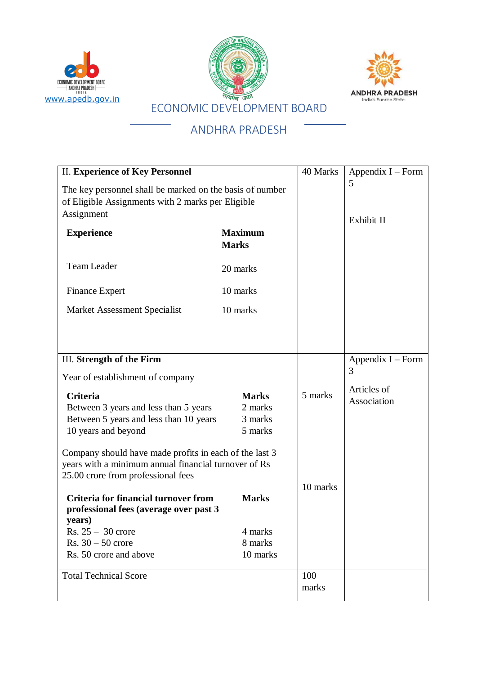





| <b>II. Experience of Key Personnel</b>                                                                                                               | 40 Marks                                      | Appendix $I$ – Form |                            |
|------------------------------------------------------------------------------------------------------------------------------------------------------|-----------------------------------------------|---------------------|----------------------------|
| The key personnel shall be marked on the basis of number<br>of Eligible Assignments with 2 marks per Eligible<br>Assignment                          |                                               |                     | 5<br>Exhibit II            |
| <b>Experience</b>                                                                                                                                    | <b>Maximum</b><br><b>Marks</b>                |                     |                            |
| <b>Team Leader</b>                                                                                                                                   | 20 marks                                      |                     |                            |
| <b>Finance Expert</b>                                                                                                                                | 10 marks                                      |                     |                            |
| Market Assessment Specialist                                                                                                                         | 10 marks                                      |                     |                            |
|                                                                                                                                                      |                                               |                     |                            |
| III. Strength of the Firm                                                                                                                            |                                               |                     | Appendix $I$ – Form        |
| Year of establishment of company                                                                                                                     |                                               |                     | 3                          |
| Criteria<br>Between 3 years and less than 5 years<br>Between 5 years and less than 10 years<br>10 years and beyond                                   | <b>Marks</b><br>2 marks<br>3 marks<br>5 marks | 5 marks             | Articles of<br>Association |
| Company should have made profits in each of the last 3<br>years with a minimum annual financial turnover of Rs<br>25.00 crore from professional fees |                                               | 10 marks            |                            |
| <b>Criteria for financial turnover from</b><br>professional fees (average over past 3<br>years)                                                      | <b>Marks</b>                                  |                     |                            |
| $Rs. 25 - 30$ crore                                                                                                                                  | 4 marks                                       |                     |                            |
| Rs. $30 - 50$ crore<br>Rs. 50 crore and above                                                                                                        | 8 marks<br>10 marks                           |                     |                            |
|                                                                                                                                                      |                                               |                     |                            |
| <b>Total Technical Score</b>                                                                                                                         |                                               | 100                 |                            |
|                                                                                                                                                      |                                               | marks               |                            |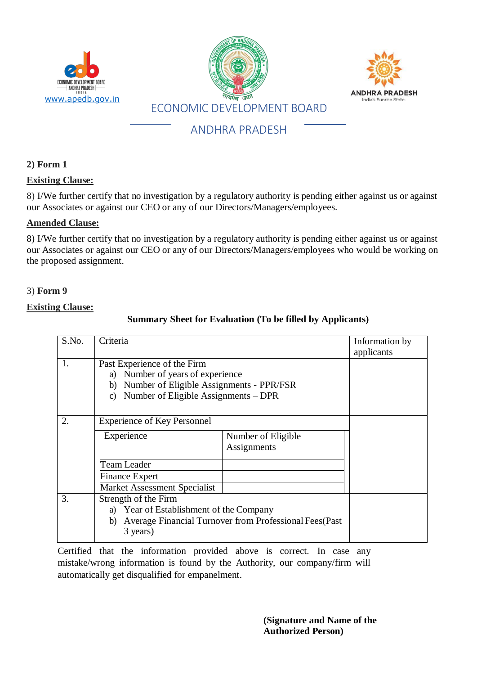

#### **2) Form 1**

#### **Existing Clause:**

8) I/We further certify that no investigation by a regulatory authority is pending either against us or against our Associates or against our CEO or any of our Directors/Managers/employees.

#### **Amended Clause:**

8) I/We further certify that no investigation by a regulatory authority is pending either against us or against our Associates or against our CEO or any of our Directors/Managers/employees who would be working on the proposed assignment.

#### 3) **Form 9**

#### **Existing Clause:**

### **Summary Sheet for Evaluation (To be filled by Applicants)**

| S.No. | Criteria                                                                                                                                                                  |                                                         | Information by<br>applicants |
|-------|---------------------------------------------------------------------------------------------------------------------------------------------------------------------------|---------------------------------------------------------|------------------------------|
| 1.    | Past Experience of the Firm<br>a) Number of years of experience<br>b) Number of Eligible Assignments - PPR/FSR<br>Number of Eligible Assignments – DPR<br>$\mathcal{C}$ ) |                                                         |                              |
| 2.    | <b>Experience of Key Personnel</b>                                                                                                                                        |                                                         |                              |
|       | Experience                                                                                                                                                                | Number of Eligible<br>Assignments                       |                              |
|       | <b>Team Leader</b>                                                                                                                                                        |                                                         |                              |
|       | <b>Finance Expert</b>                                                                                                                                                     |                                                         |                              |
|       | <b>Market Assessment Specialist</b>                                                                                                                                       |                                                         |                              |
| 3.    | Strength of the Firm<br>a) Year of Establishment of the Company<br>b)<br>3 years)                                                                                         | Average Financial Turnover from Professional Fees (Past |                              |

Certified that the information provided above is correct. In case any mistake/wrong information is found by the Authority, our company/firm will automatically get disqualified for empanelment.

> **(Signature and Name of the Authorized Person)**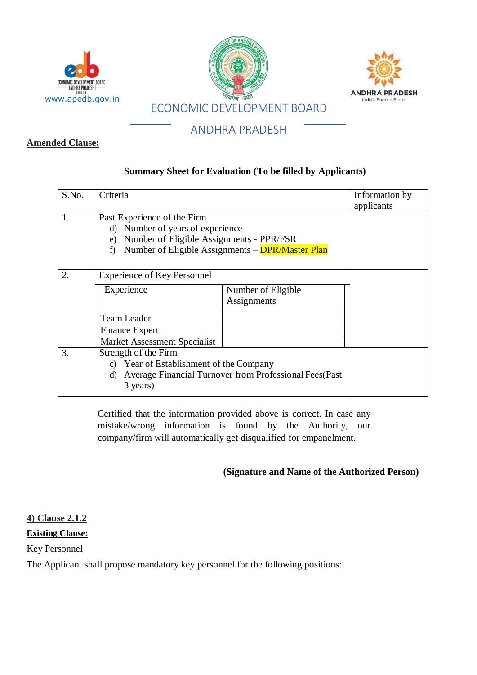

#### **Amended Clause:**

#### **Summary Sheet for Evaluation (To be filled by Applicants)**

| S.No. | Criteria                                                                                                                   |                                                         | Information by<br>applicants |
|-------|----------------------------------------------------------------------------------------------------------------------------|---------------------------------------------------------|------------------------------|
|       | Past Experience of the Firm<br>Number of years of experience<br>d)<br>Number of Eligible Assignments - PPR/FSR<br>e)<br>f) | Number of Eligible Assignments - DPR/Master Plan        |                              |
| 2.    | <b>Experience of Key Personnel</b>                                                                                         |                                                         |                              |
|       | Experience                                                                                                                 | Number of Eligible<br>Assignments                       |                              |
|       | Team Leader                                                                                                                |                                                         |                              |
|       | <b>Finance Expert</b>                                                                                                      |                                                         |                              |
|       | Market Assessment Specialist                                                                                               |                                                         |                              |
| 3.    | Strength of the Firm<br>c) Year of Establishment of the Company<br>d)<br>3 years)                                          | Average Financial Turnover from Professional Fees (Past |                              |

Certified that the information provided above is correct. In case any mistake/wrong information is found by the Authority, our company/firm will automatically get disqualified for empanelment.

#### **(Signature and Name of the Authorized Person)**

**4) Clause 2.1.2**

**Existing Clause:**

Key Personnel

The Applicant shall propose mandatory key personnel for the following positions: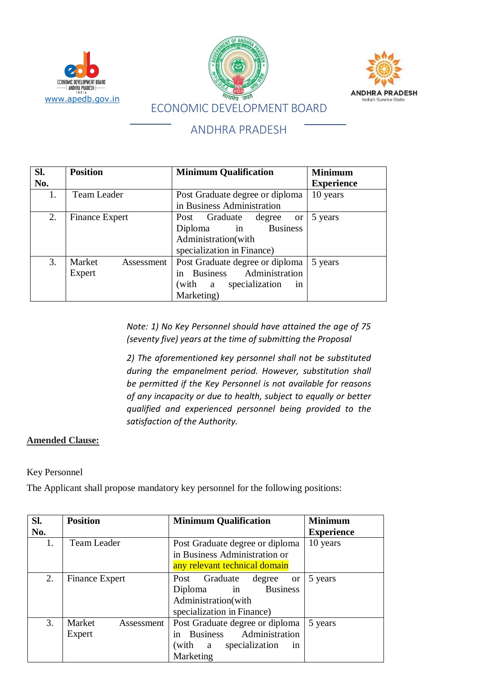





| Sl. | <b>Position</b>       | <b>Minimum Qualification</b>    | <b>Minimum</b>    |
|-----|-----------------------|---------------------------------|-------------------|
| No. |                       |                                 | <b>Experience</b> |
| 1.  | Team Leader           | Post Graduate degree or diploma | 10 years          |
|     |                       | in Business Administration      |                   |
| 2.  | <b>Finance Expert</b> | Post Graduate degree or         | 5 years           |
|     |                       | Diploma in Business             |                   |
|     |                       | Administration(with             |                   |
|     |                       | specialization in Finance)      |                   |
| 3.  | Market<br>Assessment  | Post Graduate degree or diploma | 5 years           |
|     | Expert                | in Business Administration      |                   |
|     |                       | (with a specialization<br>in    |                   |
|     |                       | Marketing)                      |                   |

*Note: 1) No Key Personnel should have attained the age of 75 (seventy five) years at the time of submitting the Proposal*

*2) The aforementioned key personnel shall not be substituted during the empanelment period. However, substitution shall be permitted if the Key Personnel is not available for reasons of any incapacity or due to health, subject to equally or better qualified and experienced personnel being provided to the satisfaction of the Authority.*

## **Amended Clause:**

Key Personnel

The Applicant shall propose mandatory key personnel for the following positions:

| Sl. | <b>Position</b>                | <b>Minimum Qualification</b>                                                                                        | <b>Minimum</b>    |
|-----|--------------------------------|---------------------------------------------------------------------------------------------------------------------|-------------------|
| No. |                                |                                                                                                                     | <b>Experience</b> |
| 1.  | <b>Team Leader</b>             | Post Graduate degree or diploma                                                                                     | 10 years          |
|     |                                | in Business Administration or                                                                                       |                   |
|     |                                | any relevant technical domain                                                                                       |                   |
| 2.  | <b>Finance Expert</b>          | Post Graduate<br>degree<br>or<br><b>Business</b><br>Diploma in<br>Administration(with<br>specialization in Finance) | 5 years           |
| 3.  | Market<br>Assessment<br>Expert | Post Graduate degree or diploma<br>in Business Administration<br>specialization<br>(with a<br>in<br>Marketing       | 5 years           |